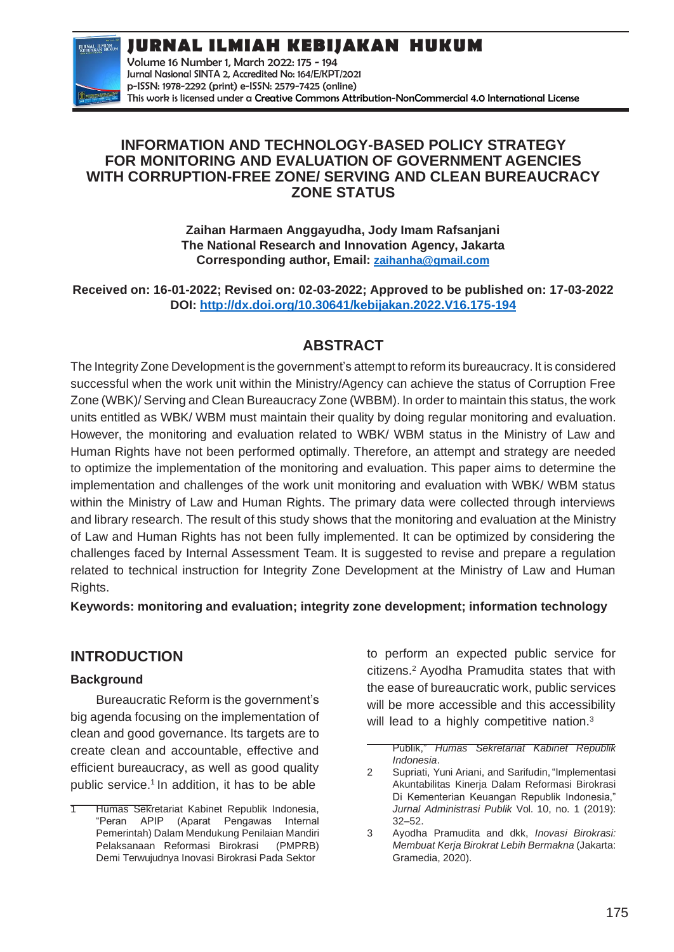**JURNAL ILMIAH KEBIJAKAN HUKUM**



Volume 16 Number 1, March 2022: 175 - 194 Jurnal Nasional SINTA 2, Accredited No: 164/E/KPT/2021 p-ISSN: 1978-2292 (print) e-ISSN: 2579-7425 (online) This work is licensed under a [Creative Commons Attribution-NonCommercial 4.0 International License](https://creativecommons.org/licenses/by-nc/4.0/)

### **INFORMATION AND TECHNOLOGY-BASED POLICY STRATEGY FOR MONITORING AND EVALUATION OF GOVERNMENT AGENCIES WITH CORRUPTION-FREE ZONE/ SERVING AND CLEAN BUREAUCRACY ZONE STATUS**

**Zaihan Harmaen Anggayudha, Jody Imam Rafsanjani The National Research and Innovation Agency, Jakarta Corresponding author, Email: [zaihanha@gmail.com](mailto:zaihanha@gmail.com)**

**Received on: 16-01-2022; Revised on: 02-03-2022; Approved to be published on: 17-03-2022 DOI:<http://dx.doi.org/10.30641/kebijakan.2022.V16.175-194>**

# **ABSTRACT**

The Integrity Zone Development is the government's attempt to reform its bureaucracy. It is considered successful when the work unit within the Ministry/Agency can achieve the status of Corruption Free Zone (WBK)/ Serving and Clean Bureaucracy Zone (WBBM). In order to maintain this status, the work units entitled as WBK/ WBM must maintain their quality by doing regular monitoring and evaluation. However, the monitoring and evaluation related to WBK/ WBM status in the Ministry of Law and Human Rights have not been performed optimally. Therefore, an attempt and strategy are needed to optimize the implementation of the monitoring and evaluation. This paper aims to determine the implementation and challenges of the work unit monitoring and evaluation with WBK/ WBM status within the Ministry of Law and Human Rights. The primary data were collected through interviews and library research. The result of this study shows that the monitoring and evaluation at the Ministry of Law and Human Rights has not been fully implemented. It can be optimized by considering the challenges faced by Internal Assessment Team. It is suggested to revise and prepare a regulation related to technical instruction for Integrity Zone Development at the Ministry of Law and Human Rights.

**Keywords: monitoring and evaluation; integrity zone development; information technology**

## **INTRODUCTION**

### **Background**

Bureaucratic Reform is the government's big agenda focusing on the implementation of clean and good governance. Its targets are to create clean and accountable, effective and efficient bureaucracy, as well as good quality public service.<sup>1</sup> In addition, it has to be able

to perform an expected public service for citizens.<sup>2</sup>Ayodha Pramudita states that with the ease of bureaucratic work, public services will be more accessible and this accessibility will lead to a highly competitive nation.<sup>3</sup>

Humas Sekretariat Kabinet Republik Indonesia, "Peran APIP (Aparat Pengawas Internal Pemerintah) Dalam Mendukung Penilaian Mandiri Pelaksanaan Reformasi Birokrasi (PMPRB) Demi Terwujudnya Inovasi Birokrasi Pada Sektor

Publik," *Humas Sekretariat Kabinet Republik Indonesia*.

<sup>2</sup> Supriati, Yuni Ariani, and Sarifudin, "Implementasi Akuntabilitas Kinerja Dalam Reformasi Birokrasi Di Kementerian Keuangan Republik Indonesia," *Jurnal Administrasi Publik* Vol. 10, no. 1 (2019): 32–52.

<sup>3</sup> Ayodha Pramudita and dkk, *Inovasi Birokrasi: Membuat Kerja Birokrat Lebih Bermakna* (Jakarta: Gramedia, 2020).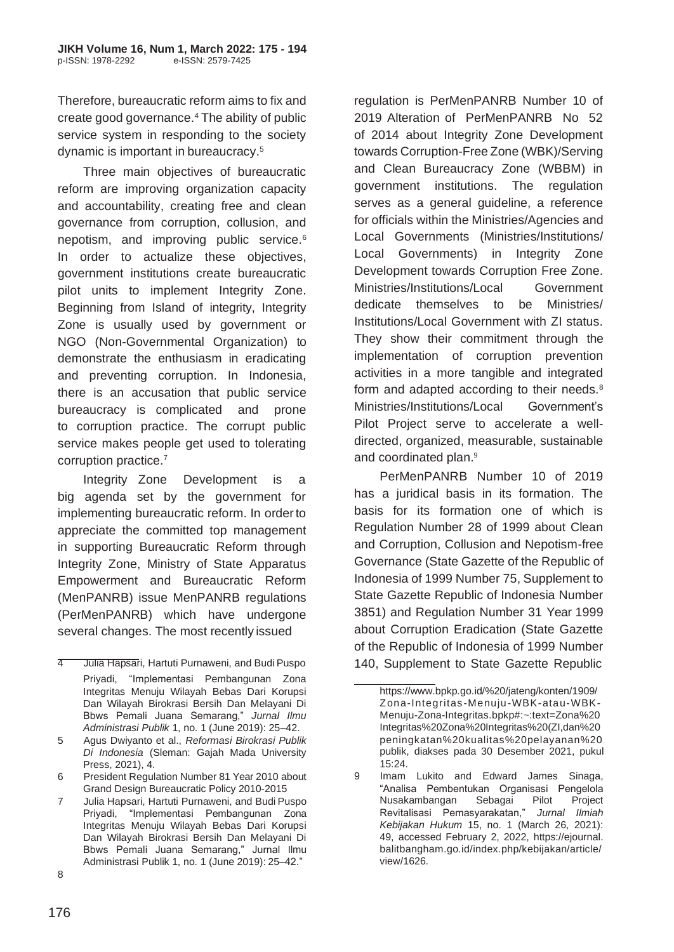Therefore, bureaucratic reform aims to fix and create good governance.<sup>4</sup> The ability of public service system in responding to the society dynamic is important in bureaucracy.<sup>5</sup>

Three main objectives of bureaucratic reform are improving organization capacity and accountability, creating free and clean governance from corruption, collusion, and nepotism, and improving public service.<sup>6</sup> In order to actualize these objectives, government institutions create bureaucratic pilot units to implement Integrity Zone. Beginning from Island of integrity, Integrity Zone is usually used by government or NGO (Non-Governmental Organization) to demonstrate the enthusiasm in eradicating and preventing corruption. In Indonesia, there is an accusation that public service bureaucracy is complicated and prone to corruption practice. The corrupt public service makes people get used to tolerating corruption practice.<sup>7</sup>

Integrity Zone Development is a big agenda set by the government for implementing bureaucratic reform. In orderto appreciate the committed top management in supporting Bureaucratic Reform through Integrity Zone, Ministry of State Apparatus Empowerment and Bureaucratic Reform (MenPANRB) issue MenPANRB regulations (PerMenPANRB) which have undergone several changes. The most recently issued

of 2014 about Integrity Zone Development towards Corruption-Free Zone (WBK)/Serving and Clean Bureaucracy Zone (WBBM) in government institutions. The regulation serves as a general guideline, a reference for officials within the Ministries/Agencies and Local Governments (Ministries/Institutions/ Local Governments) in Integrity Zone Development towards Corruption Free Zone. Ministries/Institutions/Local Government dedicate themselves to be Ministries/ Institutions/Local Government with ZI status. They show their commitment through the implementation of corruption prevention activities in a more tangible and integrated form and adapted according to their needs.<sup>8</sup> Ministries/Institutions/Local Government's Pilot Project serve to accelerate a welldirected, organized, measurable, sustainable and coordinated plan.<sup>9</sup>

regulation is PerMenPANRB Number 10 of 2019 Alteration of PerMenPANRB No 52

PerMenPANRB Number 10 of 2019 has a juridical basis in its formation. The basis for its formation one of which is Regulation Number 28 of 1999 about Clean and Corruption, Collusion and Nepotism-free Governance (State Gazette of the Republic of Indonesia of 1999 Number 75, Supplement to State Gazette Republic of Indonesia Number 3851) and Regulation Number 31 Year 1999 about Corruption Eradication (State Gazette of the Republic of Indonesia of 1999 Number 140, Supplement to State Gazette Republic

<sup>4</sup> Julia Hapsari, Hartuti Purnaweni, and Budi Puspo Priyadi, "Implementasi Pembangunan Zona Integritas Menuju Wilayah Bebas Dari Korupsi Dan Wilayah Birokrasi Bersih Dan Melayani Di Bbws Pemali Juana Semarang," *Jurnal Ilmu Administrasi Publik* 1, no. 1 (June 2019): 25–42.

<sup>5</sup> Agus Dwiyanto et al., *Reformasi Birokrasi Publik Di Indonesia* (Sleman: Gajah Mada University Press, 2021), 4.

<sup>6</sup> President Regulation Number 81 Year 2010 about Grand Design Bureaucratic Policy 2010-2015

<sup>7</sup> Julia Hapsari, Hartuti Purnaweni, and Budi Puspo Priyadi, "Implementasi Pembangunan Zona Integritas Menuju Wilayah Bebas Dari Korupsi Dan Wilayah Birokrasi Bersih Dan Melayani Di Bbws Pemali Juana Semarang," Jurnal Ilmu Administrasi Publik 1, no. 1 (June 2019): 25–42."

[https://www.bpkp.go.id/%20/jateng/konten/1909/](http://www.bpkp.go.id/jateng/konten/1909/) Zona-Integritas -Menuju-WBK-atau-WBK-Menuju-Zona-Integritas.bpkp#:~:text=Zona%20 Integritas%20Zona%20Integritas%20(ZI,dan%20 peningkatan%20kualitas%20pelayanan%20 publik, diakses pada 30 Desember 2021, pukul 15:24.

<sup>9</sup> Imam Lukito and Edward James Sinaga, "Analisa Pembentukan Organisasi Pengelola Nusakambangan Sebagai Pilot Project Revitalisasi Pemasyarakatan," *Jurnal Ilmiah Kebijakan Hukum* 15, no. 1 (March 26, 2021): 49, accessed February 2, 2022, https://ejournal. balitbangham.go.id/index.php/kebijakan/article/ view/1626.

<sup>8</sup>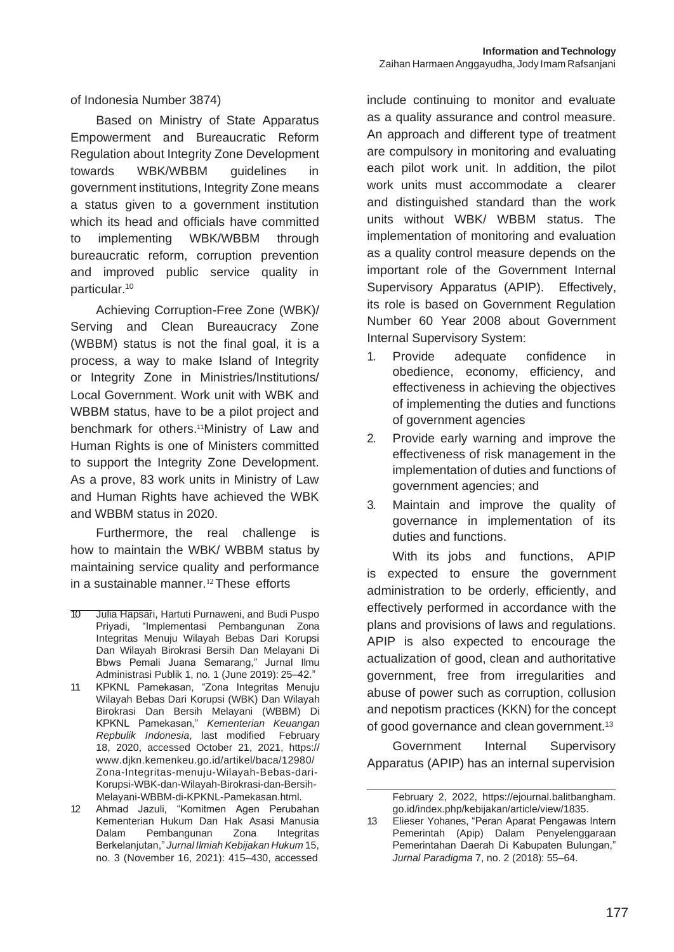of Indonesia Number 3874)

Based on Ministry of State Apparatus Empowerment and Bureaucratic Reform Regulation about Integrity Zone Development towards WBK/WBBM guidelines in government institutions, Integrity Zone means a status given to a government institution which its head and officials have committed to implementing WBK/WBBM through bureaucratic reform, corruption prevention and improved public service quality in particular.<sup>10</sup>

Achieving Corruption-Free Zone (WBK)/ Serving and Clean Bureaucracy Zone (WBBM) status is not the final goal, it is a process, a way to make Island of Integrity or Integrity Zone in Ministries/Institutions/ Local Government. Work unit with WBK and WBBM status, have to be a pilot project and benchmark for others.<sup>11</sup>Ministry of Law and Human Rights is one of Ministers committed to support the Integrity Zone Development. As a prove, 83 work units in Ministry of Law and Human Rights have achieved the WBK and WBBM status in 2020.

Furthermore, the real challenge is how to maintain the WBK/ WBBM status by maintaining service quality and performance in a sustainable manner.<sup>12</sup> These efforts

include continuing to monitor and evaluate as a quality assurance and control measure. An approach and different type of treatment are compulsory in monitoring and evaluating each pilot work unit. In addition, the pilot work units must accommodate a clearer and distinguished standard than the work units without WBK/ WBBM status. The implementation of monitoring and evaluation as a quality control measure depends on the important role of the Government Internal Supervisory Apparatus (APIP). Effectively, its role is based on Government Regulation Number 60 Year 2008 about Government Internal Supervisory System:

- 1. Provide adequate confidence in obedience, economy, efficiency, and effectiveness in achieving the objectives of implementing the duties and functions of government agencies
- 2. Provide early warning and improve the effectiveness of risk management in the implementation of duties and functions of government agencies; and
- 3. Maintain and improve the quality of governance in implementation of its duties and functions.

With its jobs and functions, APIP is expected to ensure the government administration to be orderly, efficiently, and effectively performed in accordance with the plans and provisions of laws and regulations. APIP is also expected to encourage the actualization of good, clean and authoritative government, free from irregularities and abuse of power such as corruption, collusion and nepotism practices (KKN) for the concept of good governance and clean government.<sup>13</sup>

Government Internal Supervisory Apparatus (APIP) has an internal supervision

<sup>10</sup> Julia Hapsari, Hartuti Purnaweni, and Budi Puspo Priyadi, "Implementasi Pembangunan Zona Integritas Menuju Wilayah Bebas Dari Korupsi Dan Wilayah Birokrasi Bersih Dan Melayani Di Bbws Pemali Juana Semarang," Jurnal Ilmu Administrasi Publik 1, no. 1 (June 2019): 25–42."

<sup>11</sup> KPKNL Pamekasan, "Zona Integritas Menuju Wilayah Bebas Dari Korupsi (WBK) Dan Wilayah Birokrasi Dan Bersih Melayani (WBBM) Di KPKNL Pamekasan," *Kementerian Keuangan Repbulik Indonesia*, last modified February 18, 2020, accessed October 21, 2021, https:// [www.djkn.kemenkeu.go.id/artikel/baca/12980/](http://www.djkn.kemenkeu.go.id/artikel/baca/12980/) Zona-Integritas-menuju-Wilayah-Bebas-dari-Korupsi-WBK-dan-Wilayah-Birokrasi-dan-Bersih-Melayani-WBBM-di-KPKNL-Pamekasan.html.

<sup>12</sup> Ahmad Jazuli, "Komitmen Agen Perubahan Kementerian Hukum Dan Hak Asasi Manusia Dalam Pembangunan Zona Integritas Berkelanjutan," *Jurnal Ilmiah Kebijakan Hukum* 15, no. 3 (November 16, 2021): 415–430, accessed

February 2, 2022, https://ejournal.balitbangham. go.id/index.php/kebijakan/article/view/1835.

<sup>13</sup> Elieser Yohanes, "Peran Aparat Pengawas Intern Pemerintah (Apip) Dalam Penyelenggaraan Pemerintahan Daerah Di Kabupaten Bulungan," *Jurnal Paradigma* 7, no. 2 (2018): 55–64.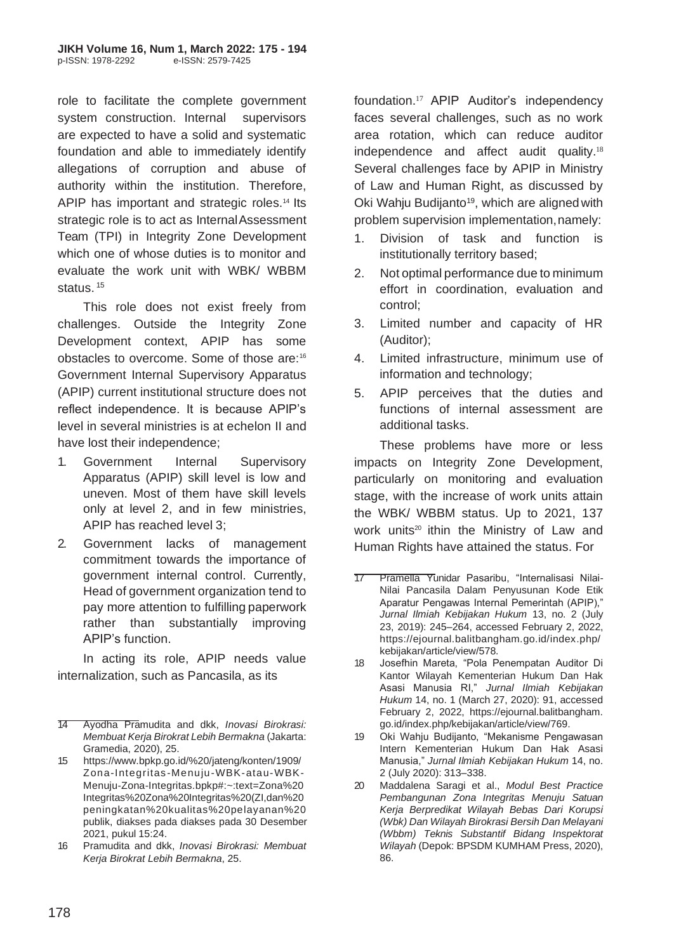role to facilitate the complete government system construction. Internal supervisors are expected to have a solid and systematic foundation and able to immediately identify allegations of corruption and abuse of authority within the institution. Therefore, APIP has important and strategic roles.<sup>14</sup> Its strategic role is to act as InternalAssessment Team (TPI) in Integrity Zone Development which one of whose duties is to monitor and evaluate the work unit with WBK/ WBBM status.<sup>15</sup>

This role does not exist freely from challenges. Outside the Integrity Zone Development context, APIP has some obstacles to overcome. Some of those are:<sup>16</sup> Government Internal Supervisory Apparatus (APIP) current institutional structure does not reflect independence. It is because APIP's level in several ministries is at echelon II and have lost their independence;

- 1. Government Internal Supervisory Apparatus (APIP) skill level is low and uneven. Most of them have skill levels only at level 2, and in few ministries, APIP has reached level 3;
- 2. Government lacks of management commitment towards the importance of government internal control. Currently, Head of government organization tend to pay more attention to fulfilling paperwork rather than substantially improving APIP's function.

In acting its role, APIP needs value internalization, such as Pancasila, as its

foundation.17 APIP Auditor's independency faces several challenges, such as no work area rotation, which can reduce auditor independence and affect audit quality.<sup>18</sup> Several challenges face by APIP in Ministry of Law and Human Right, as discussed by Oki Wahju Budijanto<sup>19</sup>, which are aligned with problem supervision implementation,namely:

- 1. Division of task and function is institutionally territory based;
- 2. Not optimal performance due to minimum effort in coordination, evaluation and control;
- 3. Limited number and capacity of HR (Auditor);
- 4. Limited infrastructure, minimum use of information and technology;
- 5. APIP perceives that the duties and functions of internal assessment are additional tasks.

These problems have more or less impacts on Integrity Zone Development, particularly on monitoring and evaluation stage, with the increase of work units attain the WBK/ WBBM status. Up to 2021, 137 work units<sup>20</sup> ithin the Ministry of Law and Human Rights have attained the status. For

<sup>14</sup> Ayodha Pramudita and dkk, *Inovasi Birokrasi: Membuat Kerja Birokrat Lebih Bermakna* (Jakarta: Gramedia, 2020), 25.

<sup>15</sup> [https://www.bpkp.go.id/%20/jateng/konten/1909/](http://www.bpkp.go.id/jateng/konten/1909/) Zona-Integritas -Menuju-WBK-atau-WBK-Menuju-Zona-Integritas.bpkp#:~:text=Zona%20 Integritas%20Zona%20Integritas%20(ZI,dan%20 peningkatan%20kualitas%20pelayanan%20 publik, diakses pada diakses pada 30 Desember 2021, pukul 15:24.

<sup>16</sup> Pramudita and dkk, *Inovasi Birokrasi: Membuat Kerja Birokrat Lebih Bermakna*, 25.

<sup>17</sup> Pramella Yunidar Pasaribu, "Internalisasi Nilai-Nilai Pancasila Dalam Penyusunan Kode Etik Aparatur Pengawas Internal Pemerintah (APIP)," *Jurnal Ilmiah Kebijakan Hukum* 13, no. 2 (July 23, 2019): 245–264, accessed February 2, 2022, https://ejournal.balitbangham.go.id/index.php/ kebijakan/article/view/578.

<sup>18</sup> Josefhin Mareta, "Pola Penempatan Auditor Di Kantor Wilayah Kementerian Hukum Dan Hak Asasi Manusia RI," *Jurnal Ilmiah Kebijakan Hukum* 14, no. 1 (March 27, 2020): 91, accessed February 2, 2022, https://ejournal.balitbangham. go.id/index.php/kebijakan/article/view/769.

<sup>19</sup> Oki Wahju Budijanto, "Mekanisme Pengawasan Intern Kementerian Hukum Dan Hak Asasi Manusia," *Jurnal Ilmiah Kebijakan Hukum* 14, no. 2 (July 2020): 313–338.

<sup>20</sup> Maddalena Saragi et al., *Modul Best Practice Pembangunan Zona Integritas Menuju Satuan Kerja Berpredikat Wilayah Bebas Dari Korupsi (Wbk) Dan Wilayah Birokrasi Bersih Dan Melayani (Wbbm) Teknis Substantif Bidang Inspektorat Wilayah* (Depok: BPSDM KUMHAM Press, 2020), 86.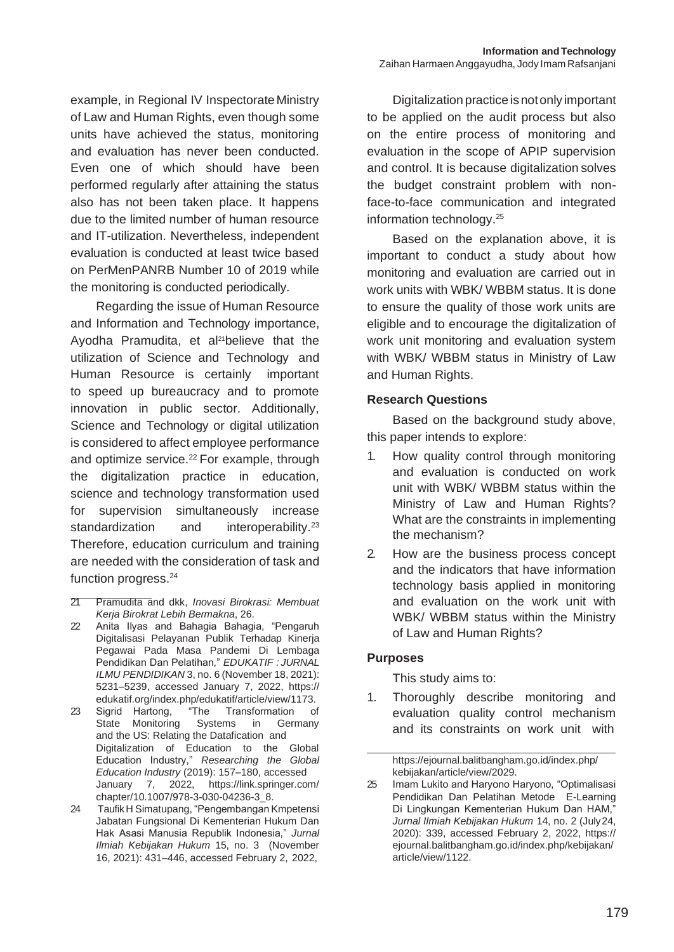example, in Regional IV Inspectorate Ministry of Law and Human Rights, even though some units have achieved the status, monitoring and evaluation has never been conducted. Even one of which should have been performed regularly after attaining the status also has not been taken place. It happens due to the limited number of human resource and IT-utilization. Nevertheless, independent evaluation is conducted at least twice based on PerMenPANRB Number 10 of 2019 while the monitoring is conducted periodically.

Regarding the issue of Human Resource and Information and Technology importance, Ayodha Pramudita, et al<sup>21</sup>believe that the utilization of Science and Technology and Human Resource is certainly important to speed up bureaucracy and to promote innovation in public sector. Additionally, Science and Technology or digital utilization is considered to affect employee performance and optimize service.<sup>22</sup> For example, through the digitalization practice in education, science and technology transformation used for supervision simultaneously increase standardization and interoperability.<sup>23</sup> Therefore, education curriculum and training are needed with the consideration of task and function progress.<sup>24</sup>

Digitalization practice isnotonly important to be applied on the audit process but also on the entire process of monitoring and evaluation in the scope of APIP supervision and control. It is because digitalization solves the budget constraint problem with nonface-to-face communication and integrated information technology.<sup>25</sup>

Based on the explanation above, it is important to conduct a study about how monitoring and evaluation are carried out in work units with WBK/ WBBM status. It is done to ensure the quality of those work units are eligible and to encourage the digitalization of work unit monitoring and evaluation system with WBK/ WBBM status in Ministry of Law and Human Rights.

#### **Research Questions**

Based on the background study above, this paper intends to explore:

- 1. How quality control through monitoring and evaluation is conducted on work unit with WBK/ WBBM status within the Ministry of Law and Human Rights? What are the constraints in implementing the mechanism?
- 2. How are the business process concept and the indicators that have information technology basis applied in monitoring and evaluation on the work unit with WBK/ WBBM status within the Ministry of Law and Human Rights?

### **Purposes**

This study aims to:

1. Thoroughly describe monitoring and evaluation quality control mechanism and its constraints on work unit with

https://ejournal.balitbangham.go.id/index.php/ kebijakan/article/view/2029.

<sup>21</sup> Pramudita and dkk, *Inovasi Birokrasi: Membuat Kerja Birokrat Lebih Bermakna*, 26.

<sup>22</sup> Anita Ilyas and Bahagia Bahagia, "Pengaruh Digitalisasi Pelayanan Publik Terhadap Kinerja Pegawai Pada Masa Pandemi Di Lembaga Pendidikan Dan Pelatihan," *EDUKATIF : JURNAL ILMU PENDIDIKAN* 3, no. 6 (November 18, 2021): 5231–5239, accessed January 7, 2022, https:// edukatif.org/index.php/edukatif/article/view/1173.

<sup>23</sup> Sigrid Hartong, "The Transformation of State Monitoring Systems in Germany and the US: Relating the Datafication and Digitalization of Education to the Global Education Industry," *Researching the Global Education Industry* (2019): 157–180, accessed January 7, 2022, https://link.springer.com/ chapter/10.1007/978-3-030-04236-3\_8.

<sup>24</sup> TaufikH Simatupang, "Pengembangan Kmpetensi Jabatan Fungsional Di Kementerian Hukum Dan Hak Asasi Manusia Republik Indonesia," *Jurnal Ilmiah Kebijakan Hukum* 15, no. 3 (November 16, 2021): 431–446, accessed February 2, 2022,

<sup>25</sup> Imam Lukito and Haryono Haryono, "Optimalisasi Pendidikan Dan Pelatihan Metode E-Learning Di Lingkungan Kementerian Hukum Dan HAM," *Jurnal Ilmiah Kebijakan Hukum* 14, no. 2 (July24, 2020): 339, accessed February 2, 2022, https:// ejournal.balitbangham.go.id/index.php/kebijakan/ article/view/1122.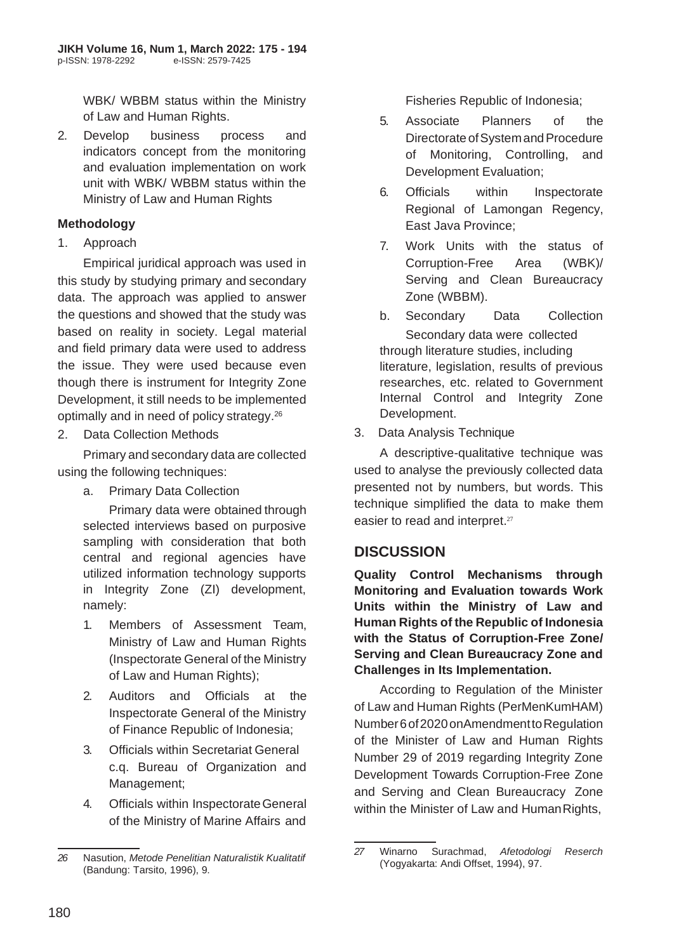WBK/ WBBM status within the Ministry of Law and Human Rights.

2. Develop business process and indicators concept from the monitoring and evaluation implementation on work unit with WBK/ WBBM status within the Ministry of Law and Human Rights

### **Methodology**

1. Approach

Empirical juridical approach was used in this study by studying primary and secondary data. The approach was applied to answer the questions and showed that the study was based on reality in society. Legal material and field primary data were used to address the issue. They were used because even though there is instrument for Integrity Zone Development, it still needs to be implemented optimally and in need of policy strategy.<sup>26</sup>

2. Data Collection Methods

Primary and secondary data are collected using the following techniques:

a. Primary Data Collection

Primary data were obtained through selected interviews based on purposive sampling with consideration that both central and regional agencies have utilized information technology supports in Integrity Zone (ZI) development, namely:

- 1. Members of Assessment Team, Ministry of Law and Human Rights (Inspectorate General of the Ministry of Law and Human Rights);
- 2. Auditors and Officials at the Inspectorate General of the Ministry of Finance Republic of Indonesia;
- 3. Officials within Secretariat General c.q. Bureau of Organization and Management;
- 4. Officials within InspectorateGeneral of the Ministry of Marine Affairs and

Fisheries Republic of Indonesia;

- 5. Associate Planners of the Directorate of System and Procedure of Monitoring, Controlling, and Development Evaluation;
- 6. Officials within Inspectorate Regional of Lamongan Regency, East Java Province;
- 7. Work Units with the status of Corruption-Free Area (WBK)/ Serving and Clean Bureaucracy Zone (WBBM).
- b. Secondary Data Collection Secondary data were collected through literature studies, including literature, legislation, results of previous researches, etc. related to Government Internal Control and Integrity Zone Development.
- 3. Data Analysis Technique

A descriptive-qualitative technique was used to analyse the previously collected data presented not by numbers, but words. This technique simplified the data to make them easier to read and interpret.<sup>27</sup>

## **DISCUSSION**

**Quality Control Mechanisms through Monitoring and Evaluation towards Work Units within the Ministry of Law and Human Rights of the Republic of Indonesia with the Status of Corruption-Free Zone/ Serving and Clean Bureaucracy Zone and Challenges in Its Implementation.**

According to Regulation of the Minister of Law and Human Rights (PerMenKumHAM) Number6of2020onAmendmenttoRegulation of the Minister of Law and Human Rights Number 29 of 2019 regarding Integrity Zone Development Towards Corruption-Free Zone and Serving and Clean Bureaucracy Zone within the Minister of Law and HumanRights,

*<sup>26</sup>* Nasution, *Metode Penelitian Naturalistik Kualitatif* (Bandung: Tarsito, 1996), 9.

*<sup>27</sup>* Winarno Surachmad, *Afetodologi Reserch* (Yogyakarta: Andi Offset, 1994), 97.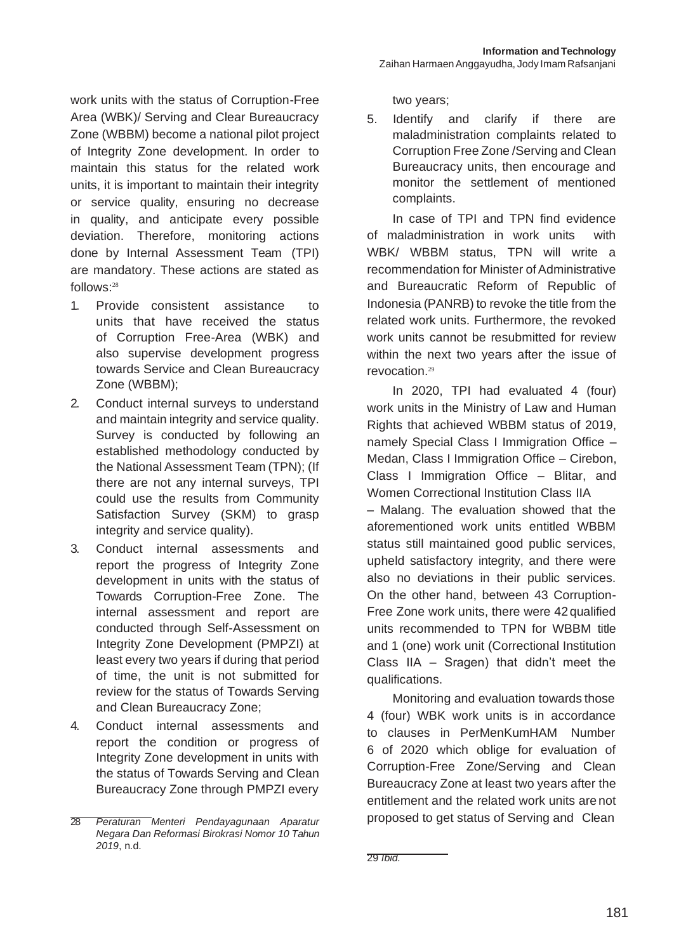work units with the status of Corruption-Free Area (WBK)/ Serving and Clear Bureaucracy Zone (WBBM) become a national pilot project of Integrity Zone development. In order to maintain this status for the related work units, it is important to maintain their integrity or service quality, ensuring no decrease in quality, and anticipate every possible deviation. Therefore, monitoring actions done by Internal Assessment Team (TPI) are mandatory. These actions are stated as follows:<sup>28</sup>

- 1. Provide consistent assistance to units that have received the status of Corruption Free-Area (WBK) and also supervise development progress towards Service and Clean Bureaucracy Zone (WBBM);
- 2. Conduct internal surveys to understand and maintain integrity and service quality. Survey is conducted by following an established methodology conducted by the National Assessment Team (TPN); (If there are not any internal surveys, TPI could use the results from Community Satisfaction Survey (SKM) to grasp integrity and service quality).
- 3. Conduct internal assessments and report the progress of Integrity Zone development in units with the status of Towards Corruption-Free Zone. The internal assessment and report are conducted through Self-Assessment on Integrity Zone Development (PMPZI) at least every two years if during that period of time, the unit is not submitted for review for the status of Towards Serving and Clean Bureaucracy Zone;
- 4. Conduct internal assessments and report the condition or progress of Integrity Zone development in units with the status of Towards Serving and Clean Bureaucracy Zone through PMPZI every

two years;

5. Identify and clarify if there are maladministration complaints related to Corruption Free Zone /Serving and Clean Bureaucracy units, then encourage and monitor the settlement of mentioned complaints.

In case of TPI and TPN find evidence of maladministration in work units with WBK/ WBBM status, TPN will write a recommendation for Minister of Administrative and Bureaucratic Reform of Republic of Indonesia (PANRB) to revoke the title from the related work units. Furthermore, the revoked work units cannot be resubmitted for review within the next two years after the issue of revocation.<sup>29</sup>

In 2020, TPI had evaluated 4 (four) work units in the Ministry of Law and Human Rights that achieved WBBM status of 2019, namely Special Class I Immigration Office – Medan, Class I Immigration Office – Cirebon, Class I Immigration Office – Blitar, and Women Correctional Institution Class IIA

– Malang. The evaluation showed that the aforementioned work units entitled WBBM status still maintained good public services, upheld satisfactory integrity, and there were also no deviations in their public services. On the other hand, between 43 Corruption-Free Zone work units, there were 42qualified units recommended to TPN for WBBM title and 1 (one) work unit (Correctional Institution Class IIA – Sragen) that didn't meet the qualifications.

Monitoring and evaluation towards those 4 (four) WBK work units is in accordance to clauses in PerMenKumHAM Number 6 of 2020 which oblige for evaluation of Corruption-Free Zone/Serving and Clean Bureaucracy Zone at least two years after the entitlement and the related work units are not proposed to get status of Serving and Clean

29 *Ibid.*

<sup>28</sup> *Peraturan Menteri Pendayagunaan Aparatur Negara Dan Reformasi Birokrasi Nomor 10 Tahun 2019*, n.d.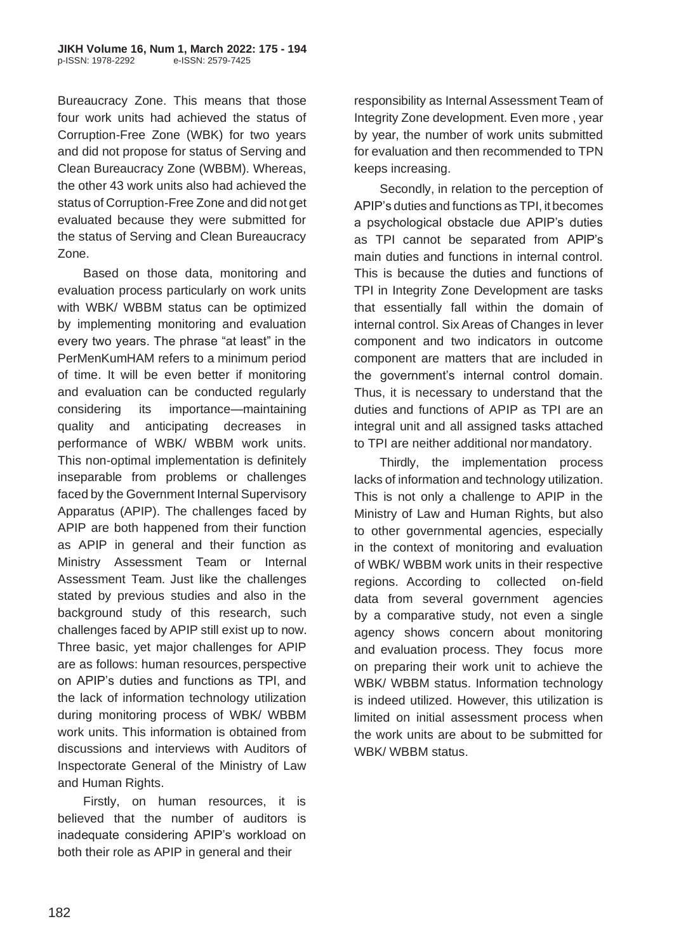Bureaucracy Zone. This means that those four work units had achieved the status of Corruption-Free Zone (WBK) for two years and did not propose for status of Serving and Clean Bureaucracy Zone (WBBM). Whereas, the other 43 work units also had achieved the status of Corruption-Free Zone and did not get evaluated because they were submitted for the status of Serving and Clean Bureaucracy Zone.

Based on those data, monitoring and evaluation process particularly on work units with WBK/ WBBM status can be optimized by implementing monitoring and evaluation every two years. The phrase "at least" in the PerMenKumHAM refers to a minimum period of time. It will be even better if monitoring and evaluation can be conducted regularly considering its importance—maintaining quality and anticipating decreases in performance of WBK/ WBBM work units. This non-optimal implementation is definitely inseparable from problems or challenges faced by the Government Internal Supervisory Apparatus (APIP). The challenges faced by APIP are both happened from their function as APIP in general and their function as Ministry Assessment Team or Internal Assessment Team. Just like the challenges stated by previous studies and also in the background study of this research, such challenges faced by APIP still exist up to now. Three basic, yet major challenges for APIP are as follows: human resources,perspective on APIP's duties and functions as TPI, and the lack of information technology utilization during monitoring process of WBK/ WBBM work units. This information is obtained from discussions and interviews with Auditors of Inspectorate General of the Ministry of Law and Human Rights.

Firstly, on human resources, it is believed that the number of auditors is inadequate considering APIP's workload on both their role as APIP in general and their

responsibility as Internal Assessment Team of Integrity Zone development. Even more , year by year, the number of work units submitted for evaluation and then recommended to TPN keeps increasing.

Secondly, in relation to the perception of APIP's duties and functions as TPI, it becomes a psychological obstacle due APIP's duties as TPI cannot be separated from APIP's main duties and functions in internal control. This is because the duties and functions of TPI in Integrity Zone Development are tasks that essentially fall within the domain of internal control. Six Areas of Changes in lever component and two indicators in outcome component are matters that are included in the government's internal control domain. Thus, it is necessary to understand that the duties and functions of APIP as TPI are an integral unit and all assigned tasks attached to TPI are neither additional normandatory.

Thirdly, the implementation process lacks of information and technology utilization. This is not only a challenge to APIP in the Ministry of Law and Human Rights, but also to other governmental agencies, especially in the context of monitoring and evaluation of WBK/ WBBM work units in their respective regions. According to collected on-field data from several government agencies by a comparative study, not even a single agency shows concern about monitoring and evaluation process. They focus more on preparing their work unit to achieve the WBK/ WBBM status. Information technology is indeed utilized. However, this utilization is limited on initial assessment process when the work units are about to be submitted for WBK/ WBBM status.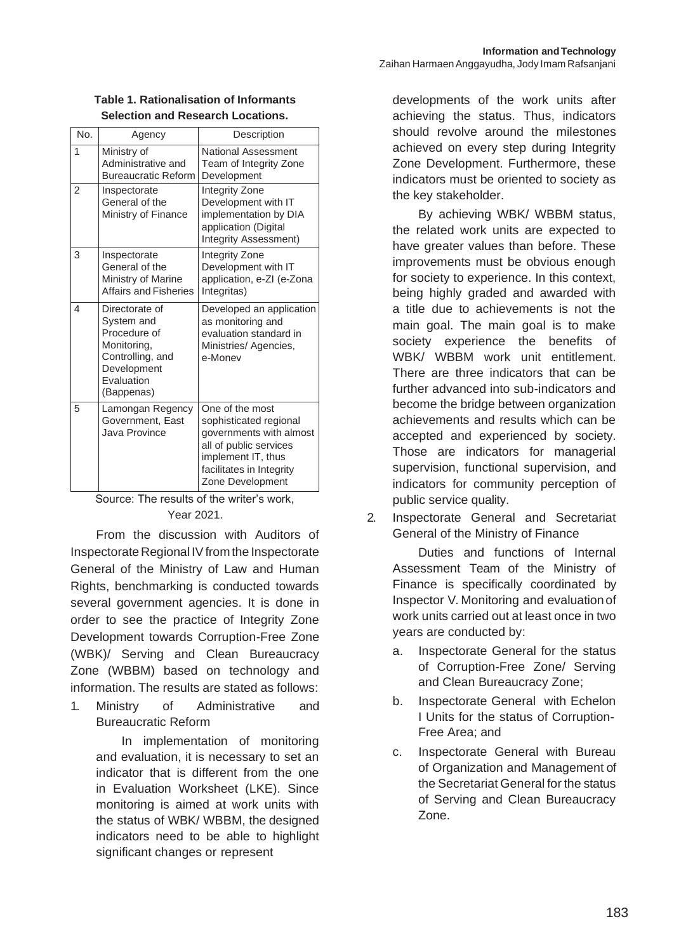| No.            | Agency                                                                                                                     | Description                                                                                                                                                                           |
|----------------|----------------------------------------------------------------------------------------------------------------------------|---------------------------------------------------------------------------------------------------------------------------------------------------------------------------------------|
| 1              | Ministry of<br>Administrative and<br><b>Bureaucratic Reform</b>                                                            | <b>National Assessment</b><br>Team of Integrity Zone<br>Development                                                                                                                   |
| $\overline{2}$ | Inspectorate<br>General of the<br>Ministry of Finance                                                                      | Integrity Zone<br>Development with IT<br>implementation by DIA<br>application (Digital<br>Integrity Assessment)                                                                       |
| 3              | Inspectorate<br>General of the<br>Ministry of Marine<br>Affairs and Fisheries                                              | Integrity Zone<br>Development with IT<br>application, e-ZI (e-Zona<br>Integritas)                                                                                                     |
| 4              | Directorate of<br>System and<br>Procedure of<br>Monitoring,<br>Controlling, and<br>Development<br>Evaluation<br>(Bappenas) | Developed an application<br>as monitoring and<br>evaluation standard in<br>Ministries/Agencies,<br>e-Monev                                                                            |
| 5              | Lamongan Regency<br>Government, East<br>Java Province                                                                      | One of the most<br>sophisticated regional<br>governments with almost<br>all of public services<br>implement IT, thus<br>facilitates in Integrity<br>Zone Development<br>$\sim$ $\sim$ |

#### **Table 1. Rationalisation of Informants Selection and Research Locations.**

Source: The results of the writer's work, Year 2021.

From the discussion with Auditors of Inspectorate Regional IV from the Inspectorate General of the Ministry of Law and Human Rights, benchmarking is conducted towards several government agencies. It is done in order to see the practice of Integrity Zone Development towards Corruption-Free Zone (WBK)/ Serving and Clean Bureaucracy Zone (WBBM) based on technology and information. The results are stated as follows:

1. Ministry of Administrative and Bureaucratic Reform

> In implementation of monitoring and evaluation, it is necessary to set an indicator that is different from the one in Evaluation Worksheet (LKE). Since monitoring is aimed at work units with the status of WBK/ WBBM, the designed indicators need to be able to highlight significant changes or represent

developments of the work units after achieving the status. Thus, indicators should revolve around the milestones achieved on every step during Integrity Zone Development. Furthermore, these indicators must be oriented to society as the key stakeholder.

By achieving WBK/ WBBM status, the related work units are expected to have greater values than before. These improvements must be obvious enough for society to experience. In this context, being highly graded and awarded with a title due to achievements is not the main goal. The main goal is to make society experience the benefits of WBK/ WBBM work unit entitlement. There are three indicators that can be further advanced into sub-indicators and become the bridge between organization achievements and results which can be accepted and experienced by society. Those are indicators for managerial supervision, functional supervision, and indicators for community perception of public service quality.

2. Inspectorate General and Secretariat General of the Ministry of Finance

Duties and functions of Internal Assessment Team of the Ministry of Finance is specifically coordinated by Inspector V. Monitoring and evaluationof work units carried out at least once in two years are conducted by:

- a. Inspectorate General for the status of Corruption-Free Zone/ Serving and Clean Bureaucracy Zone;
- b. Inspectorate General with Echelon I Units for the status of Corruption-Free Area; and
- c. Inspectorate General with Bureau of Organization and Management of the Secretariat General for the status of Serving and Clean Bureaucracy Zone.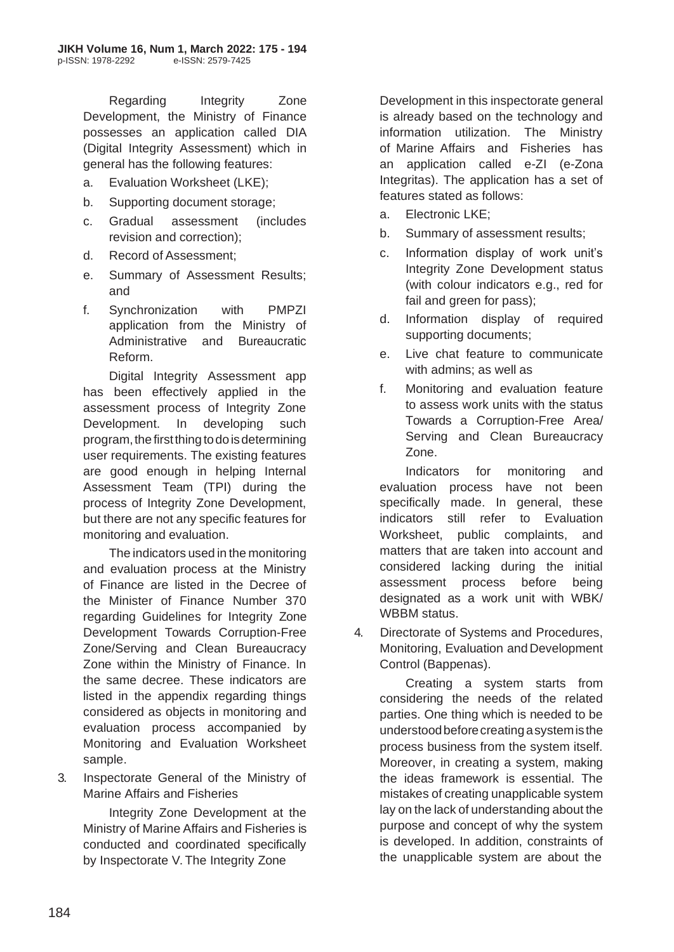Regarding Integrity Zone Development, the Ministry of Finance possesses an application called DIA (Digital Integrity Assessment) which in general has the following features:

- a. Evaluation Worksheet (LKE);
- b. Supporting document storage;
- c. Gradual assessment (includes revision and correction);
- d. Record of Assessment;
- e. Summary of Assessment Results; and
- f. Synchronization with PMPZI application from the Ministry of Administrative and Bureaucratic Reform.

Digital Integrity Assessment app has been effectively applied in the assessment process of Integrity Zone Development. In developing such program, the first thing to do is determining user requirements. The existing features are good enough in helping Internal Assessment Team (TPI) during the process of Integrity Zone Development, but there are not any specific features for monitoring and evaluation.

The indicators used in the monitoring and evaluation process at the Ministry of Finance are listed in the Decree of the Minister of Finance Number 370 regarding Guidelines for Integrity Zone Development Towards Corruption-Free Zone/Serving and Clean Bureaucracy Zone within the Ministry of Finance. In the same decree. These indicators are listed in the appendix regarding things considered as objects in monitoring and evaluation process accompanied by Monitoring and Evaluation Worksheet sample.

3. Inspectorate General of the Ministry of Marine Affairs and Fisheries

> Integrity Zone Development at the Ministry of Marine Affairs and Fisheries is conducted and coordinated specifically by Inspectorate V. The Integrity Zone

Development in this inspectorate general is already based on the technology and information utilization. The Ministry of Marine Affairs and Fisheries has an application called e-ZI (e-Zona Integritas). The application has a set of features stated as follows:

- a. Electronic LKE;
- b. Summary of assessment results;
- c. Information display of work unit's Integrity Zone Development status (with colour indicators e.g., red for fail and green for pass);
- d. Information display of required supporting documents;
- e. Live chat feature to communicate with admins; as well as
- f. Monitoring and evaluation feature to assess work units with the status Towards a Corruption-Free Area/ Serving and Clean Bureaucracy Zone.

Indicators for monitoring and evaluation process have not been specifically made. In general, these indicators still refer to Evaluation Worksheet, public complaints, and matters that are taken into account and considered lacking during the initial assessment process before being designated as a work unit with WBK/ WBBM status.

4. Directorate of Systems and Procedures, Monitoring, Evaluation and Development Control (Bappenas).

Creating a system starts from considering the needs of the related parties. One thing which is needed to be understoodbeforecreatingasystemisthe process business from the system itself. Moreover, in creating a system, making the ideas framework is essential. The mistakes of creating unapplicable system lay on the lack of understanding about the purpose and concept of why the system is developed. In addition, constraints of the unapplicable system are about the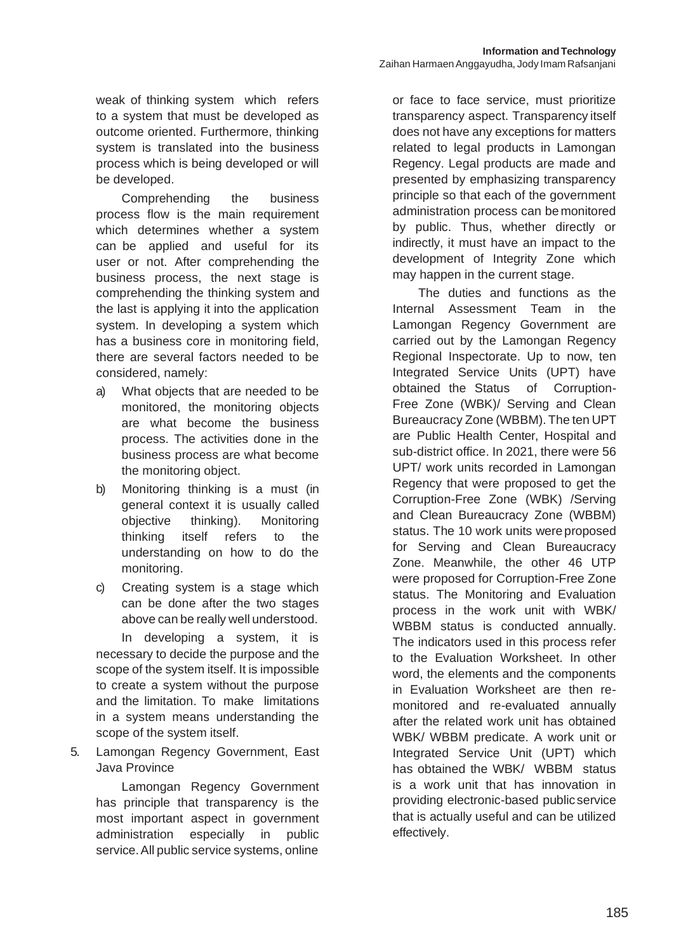weak of thinking system which refers to a system that must be developed as outcome oriented. Furthermore, thinking system is translated into the business process which is being developed or will be developed.

Comprehending the business process flow is the main requirement which determines whether a system can be applied and useful for its user or not. After comprehending the business process, the next stage is comprehending the thinking system and the last is applying it into the application system. In developing a system which has a business core in monitoring field, there are several factors needed to be considered, namely:

- a) What objects that are needed to be monitored, the monitoring objects are what become the business process. The activities done in the business process are what become the monitoring object.
- b) Monitoring thinking is a must (in general context it is usually called objective thinking). Monitoring thinking itself refers to the understanding on how to do the monitoring.
- c) Creating system is a stage which can be done after the two stages above can be really well understood.

In developing a system, it is necessary to decide the purpose and the scope of the system itself. It is impossible to create a system without the purpose and the limitation. To make limitations in a system means understanding the scope of the system itself.

5. Lamongan Regency Government, East Java Province

> Lamongan Regency Government has principle that transparency is the most important aspect in government administration especially in public service.All public service systems, online

or face to face service, must prioritize transparency aspect. Transparency itself does not have any exceptions for matters related to legal products in Lamongan Regency. Legal products are made and presented by emphasizing transparency principle so that each of the government administration process can bemonitored by public. Thus, whether directly or indirectly, it must have an impact to the development of Integrity Zone which may happen in the current stage.

The duties and functions as the Internal Assessment Team in the Lamongan Regency Government are carried out by the Lamongan Regency Regional Inspectorate. Up to now, ten Integrated Service Units (UPT) have obtained the Status of Corruption-Free Zone (WBK)/ Serving and Clean Bureaucracy Zone (WBBM). The ten UPT are Public Health Center, Hospital and sub-district office. In 2021, there were 56 UPT/ work units recorded in Lamongan Regency that were proposed to get the Corruption-Free Zone (WBK) /Serving and Clean Bureaucracy Zone (WBBM) status. The 10 work units were proposed for Serving and Clean Bureaucracy Zone. Meanwhile, the other 46 UTP were proposed for Corruption-Free Zone status. The Monitoring and Evaluation process in the work unit with WBK/ WBBM status is conducted annually. The indicators used in this process refer to the Evaluation Worksheet. In other word, the elements and the components in Evaluation Worksheet are then remonitored and re-evaluated annually after the related work unit has obtained WBK/ WBBM predicate. A work unit or Integrated Service Unit (UPT) which has obtained the WBK/ WBBM status is a work unit that has innovation in providing electronic-based publicservice that is actually useful and can be utilized effectively.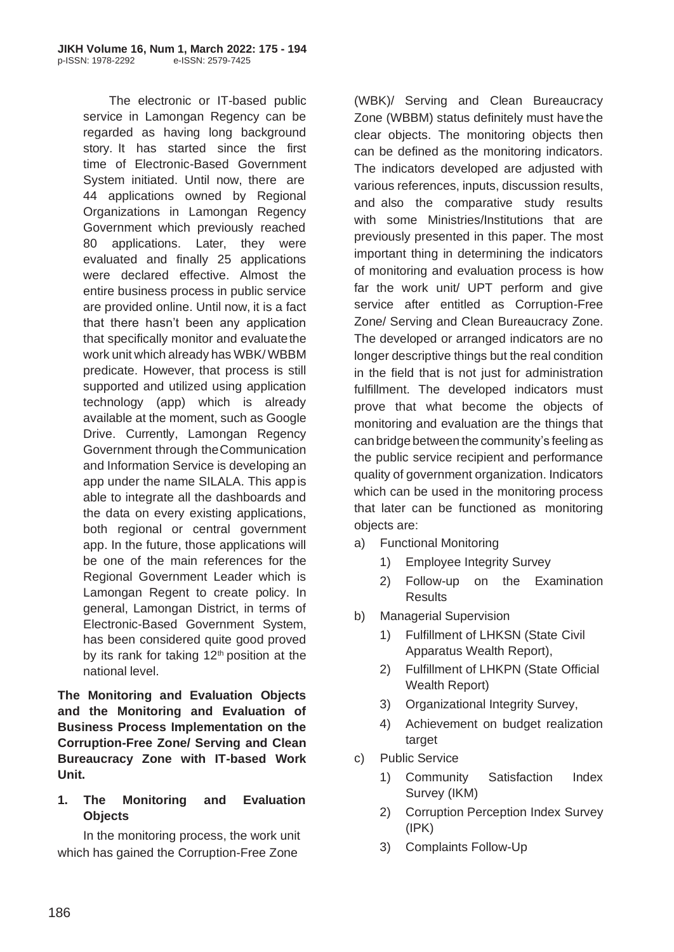The electronic or IT-based public service in Lamongan Regency can be regarded as having long background story. It has started since the first time of Electronic-Based Government System initiated. Until now, there are 44 applications owned by Regional Organizations in Lamongan Regency Government which previously reached 80 applications. Later, they were evaluated and finally 25 applications were declared effective. Almost the entire business process in public service are provided online. Until now, it is a fact that there hasn't been any application that specifically monitor and evaluatethe work unit which already has WBK/ WBBM predicate. However, that process is still supported and utilized using application technology (app) which is already available at the moment, such as Google Drive. Currently, Lamongan Regency Government through theCommunication and Information Service is developing an app under the name SILALA. This appis able to integrate all the dashboards and the data on every existing applications, both regional or central government app. In the future, those applications will be one of the main references for the Regional Government Leader which is Lamongan Regent to create policy. In general, Lamongan District, in terms of Electronic-Based Government System, has been considered quite good proved by its rank for taking  $12<sup>th</sup>$  position at the national level.

**The Monitoring and Evaluation Objects and the Monitoring and Evaluation of Business Process Implementation on the Corruption-Free Zone/ Serving and Clean Bureaucracy Zone with IT-based Work Unit.**

### **1. The Monitoring and Evaluation Objects**

In the monitoring process, the work unit which has gained the Corruption-Free Zone

(WBK)/ Serving and Clean Bureaucracy Zone (WBBM) status definitely must have the clear objects. The monitoring objects then can be defined as the monitoring indicators. The indicators developed are adjusted with various references, inputs, discussion results, and also the comparative study results with some Ministries/Institutions that are previously presented in this paper. The most important thing in determining the indicators of monitoring and evaluation process is how far the work unit/ UPT perform and give service after entitled as Corruption-Free Zone/ Serving and Clean Bureaucracy Zone. The developed or arranged indicators are no longer descriptive things but the real condition in the field that is not just for administration fulfillment. The developed indicators must prove that what become the objects of monitoring and evaluation are the things that canbridge between the community's feeling as the public service recipient and performance quality of government organization. Indicators which can be used in the monitoring process that later can be functioned as monitoring objects are:

- a) Functional Monitoring
	- 1) Employee Integrity Survey
	- 2) Follow-up on the Examination **Results**
- b) Managerial Supervision
	- 1) Fulfillment of LHKSN (State Civil Apparatus Wealth Report),
	- 2) Fulfillment of LHKPN (State Official Wealth Report)
	- 3) Organizational Integrity Survey,
	- 4) Achievement on budget realization target
- c) Public Service
	- 1) Community Satisfaction Index Survey (IKM)
	- 2) Corruption Perception Index Survey (IPK)
	- 3) Complaints Follow-Up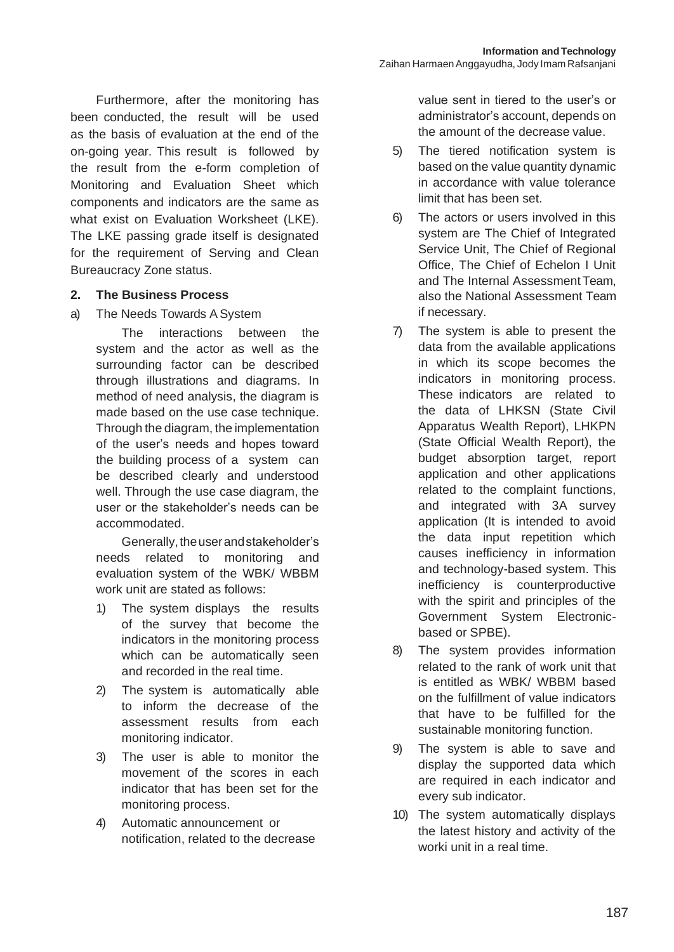Furthermore, after the monitoring has been conducted, the result will be used as the basis of evaluation at the end of the on-going year. This result is followed by the result from the e-form completion of Monitoring and Evaluation Sheet which components and indicators are the same as what exist on Evaluation Worksheet (LKE). The LKE passing grade itself is designated for the requirement of Serving and Clean Bureaucracy Zone status.

#### **2. The Business Process**

a) The Needs Towards A System

The interactions between the system and the actor as well as the surrounding factor can be described through illustrations and diagrams. In method of need analysis, the diagram is made based on the use case technique. Through the diagram, the implementation of the user's needs and hopes toward the building process of a system can be described clearly and understood well. Through the use case diagram, the user or the stakeholder's needs can be accommodated.

Generally, the user and stakeholder's needs related to monitoring and evaluation system of the WBK/ WBBM work unit are stated as follows:

- 1) The system displays the results of the survey that become the indicators in the monitoring process which can be automatically seen and recorded in the real time.
- 2) The system is automatically able to inform the decrease of the assessment results from each monitoring indicator.
- 3) The user is able to monitor the movement of the scores in each indicator that has been set for the monitoring process.
- 4) Automatic announcement or notification, related to the decrease

value sent in tiered to the user's or administrator's account, depends on the amount of the decrease value.

- 5) The tiered notification system is based on the value quantity dynamic in accordance with value tolerance limit that has been set.
- 6) The actors or users involved in this system are The Chief of Integrated Service Unit, The Chief of Regional Office, The Chief of Echelon I Unit and The Internal Assessment Team. also the National Assessment Team if necessary.
- 7) The system is able to present the data from the available applications in which its scope becomes the indicators in monitoring process. These indicators are related to the data of LHKSN (State Civil Apparatus Wealth Report), LHKPN (State Official Wealth Report), the budget absorption target, report application and other applications related to the complaint functions, and integrated with 3A survey application (It is intended to avoid the data input repetition which causes inefficiency in information and technology-based system. This inefficiency is counterproductive with the spirit and principles of the Government System Electronicbased or SPBE).
- 8) The system provides information related to the rank of work unit that is entitled as WBK/ WBBM based on the fulfillment of value indicators that have to be fulfilled for the sustainable monitoring function.
- 9) The system is able to save and display the supported data which are required in each indicator and every sub indicator.
- 10) The system automatically displays the latest history and activity of the worki unit in a real time.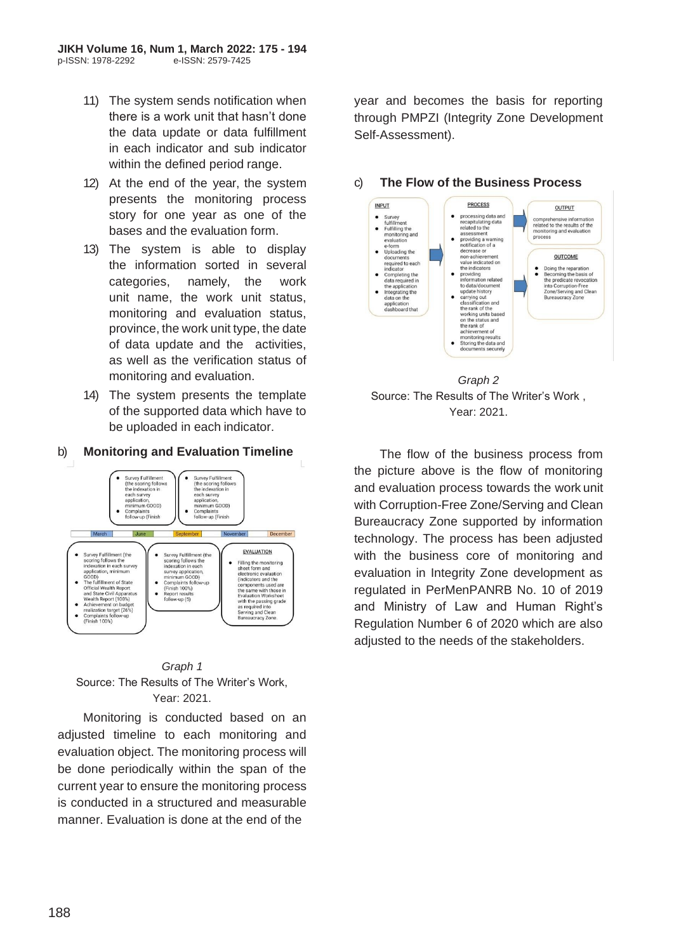- 11) The system sends notification when there is a work unit that hasn't done the data update or data fulfillment in each indicator and sub indicator within the defined period range.
- 12) At the end of the year, the system presents the monitoring process story for one year as one of the bases and the evaluation form.
- 13) The system is able to display the information sorted in several categories, namely, the work unit name, the work unit status, monitoring and evaluation status, province, the work unit type, the date of data update and the activities, as well as the verification status of monitoring and evaluation.
- 14) The system presents the template of the supported data which have to be uploaded in each indicator.

#### b) **Monitoring and Evaluation Timeline**





Monitoring is conducted based on an adjusted timeline to each monitoring and evaluation object. The monitoring process will be done periodically within the span of the current year to ensure the monitoring process is conducted in a structured and measurable manner. Evaluation is done at the end of the

year and becomes the basis for reporting through PMPZI (Integrity Zone Development Self-Assessment).



### c) **The Flow of the Business Process**



The flow of the business process from the picture above is the flow of monitoring and evaluation process towards the work unit with Corruption-Free Zone/Serving and Clean Bureaucracy Zone supported by information technology. The process has been adjusted with the business core of monitoring and evaluation in Integrity Zone development as regulated in PerMenPANRB No. 10 of 2019 and Ministry of Law and Human Right's Regulation Number 6 of 2020 which are also adjusted to the needs of the stakeholders.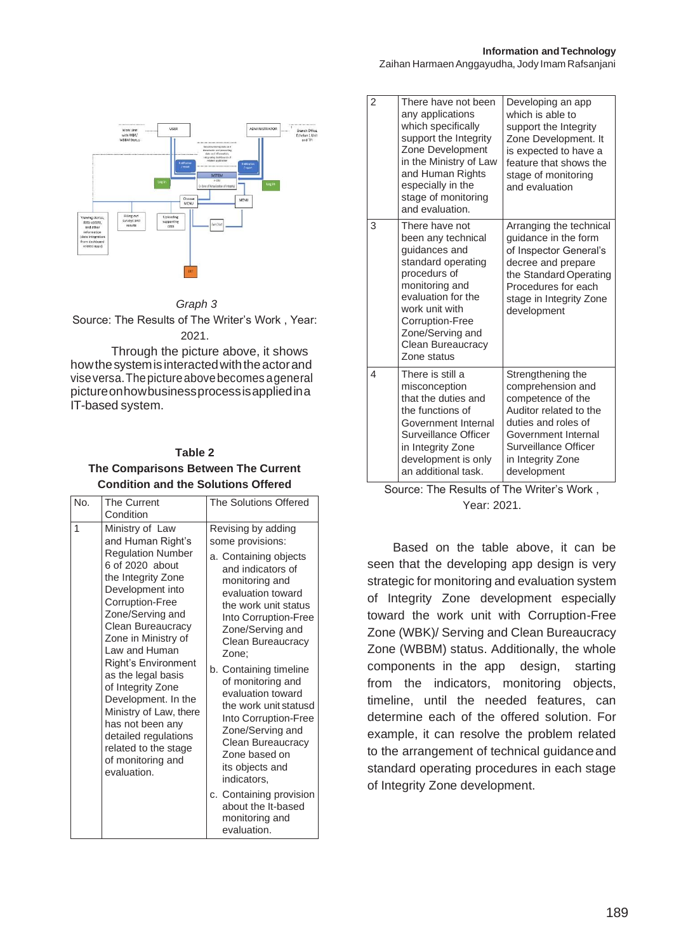Zaihan HarmaenAnggayudha, Jody Imam Rafsanjani



#### *Graph 3*

Source: The Results of The Writer's Work , Year: 2021.

Through the picture above, it shows how the system is interacted with the actor and viseversa.Thepictureabovebecomes ageneral pictureonhowbusinessprocessisappliedina IT-based system.

| Table 2                                    |  |  |
|--------------------------------------------|--|--|
| The Comparisons Between The Current        |  |  |
| <b>Condition and the Solutions Offered</b> |  |  |

| No. | <b>The Current</b><br>Condition                                                                                                                                                                                                                                                                                                                                                                                                                                     | <b>The Solutions Offered</b>                                                                                                                                                                                                                                                                                                                                                                                                                                                                                                     |
|-----|---------------------------------------------------------------------------------------------------------------------------------------------------------------------------------------------------------------------------------------------------------------------------------------------------------------------------------------------------------------------------------------------------------------------------------------------------------------------|----------------------------------------------------------------------------------------------------------------------------------------------------------------------------------------------------------------------------------------------------------------------------------------------------------------------------------------------------------------------------------------------------------------------------------------------------------------------------------------------------------------------------------|
| 1   | Ministry of Law<br>and Human Right's<br><b>Regulation Number</b><br>6 of 2020 about<br>the Integrity Zone<br>Development into<br>Corruption-Free<br>Zone/Serving and<br>Clean Bureaucracy<br>Zone in Ministry of<br>Law and Human<br><b>Right's Environment</b><br>as the legal basis<br>of Integrity Zone<br>Development. In the<br>Ministry of Law, there<br>has not been any<br>detailed regulations<br>related to the stage<br>of monitoring and<br>evaluation. | Revising by adding<br>some provisions:<br>a. Containing objects<br>and indicators of<br>monitoring and<br>evaluation toward<br>the work unit status<br>Into Corruption-Free<br>Zone/Serving and<br>Clean Bureaucracy<br>Zone:<br>b. Containing timeline<br>of monitoring and<br>evaluation toward<br>the work unit statusd<br>Into Corruption-Free<br>Zone/Serving and<br>Clean Bureaucracy<br>Zone based on<br>its objects and<br>indicators,<br>c. Containing provision<br>about the It-based<br>monitoring and<br>evaluation. |

| $\overline{2}$           | There have not been<br>any applications<br>which specifically<br>support the Integrity<br>Zone Development<br>in the Ministry of Law<br>and Human Rights<br>especially in the<br>stage of monitoring<br>and evaluation.          | Developing an app<br>which is able to<br>support the Integrity<br>Zone Development. It<br>is expected to have a<br>feature that shows the<br>stage of monitoring<br>and evaluation              |
|--------------------------|----------------------------------------------------------------------------------------------------------------------------------------------------------------------------------------------------------------------------------|-------------------------------------------------------------------------------------------------------------------------------------------------------------------------------------------------|
| 3                        | There have not<br>been any technical<br>guidances and<br>standard operating<br>procedurs of<br>monitoring and<br>evaluation for the<br>work unit with<br>Corruption-Free<br>Zone/Serving and<br>Clean Bureaucracy<br>Zone status | Arranging the technical<br>guidance in the form<br>of Inspector General's<br>decree and prepare<br>the Standard Operating<br>Procedures for each<br>stage in Integrity Zone<br>development      |
| $\overline{\mathcal{L}}$ | There is still a<br>misconception<br>that the duties and<br>the functions of<br>Government Internal<br>Surveillance Officer<br>in Integrity Zone<br>development is only<br>an additional task.                                   | Strengthening the<br>comprehension and<br>competence of the<br>Auditor related to the<br>duties and roles of<br>Government Internal<br>Surveillance Officer<br>in Integrity Zone<br>development |

**Source: The Results of The Writer's Work,** Year: 2021.

Based on the table above, it can be seen that the developing app design is very strategic for monitoring and evaluation system of Integrity Zone development especially toward the work unit with Corruption-Free Zone (WBK)/ Serving and Clean Bureaucracy Zone (WBBM) status. Additionally, the whole components in the app design, starting from the indicators, monitoring objects, timeline, until the needed features, can determine each of the offered solution. For example, it can resolve the problem related to the arrangement of technical guidanceand standard operating procedures in each stage of Integrity Zone development.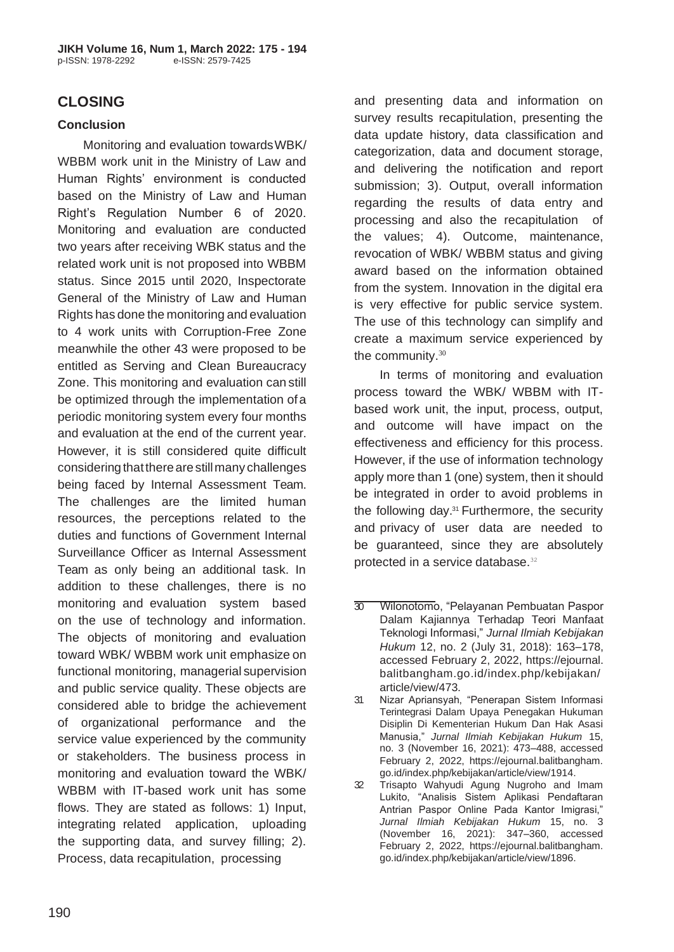# **CLOSING**

### **Conclusion**

Monitoring and evaluation towards WBK/ WBBM work unit in the Ministry of Law and Human Rights' environment is conducted based on the Ministry of Law and Human Right's Regulation Number 6 of 2020. Monitoring and evaluation are conducted two years after receiving WBK status and the related work unit is not proposed into WBBM status. Since 2015 until 2020, Inspectorate General of the Ministry of Law and Human Rights has done the monitoring and evaluation to 4 work units with Corruption-Free Zone meanwhile the other 43 were proposed to be entitled as Serving and Clean Bureaucracy Zone. This monitoring and evaluation can still be optimized through the implementation ofa periodic monitoring system every four months and evaluation at the end of the current year. However, it is still considered quite difficult considering thattherearestillmany challenges being faced by Internal Assessment Team. The challenges are the limited human resources, the perceptions related to the duties and functions of Government Internal Surveillance Officer as Internal Assessment Team as only being an additional task. In addition to these challenges, there is no monitoring and evaluation system based on the use of technology and information. The objects of monitoring and evaluation toward WBK/ WBBM work unit emphasize on functional monitoring, managerial supervision and public service quality. These objects are considered able to bridge the achievement of organizational performance and the service value experienced by the community or stakeholders. The business process in monitoring and evaluation toward the WBK/ WBBM with IT-based work unit has some flows. They are stated as follows: 1) Input, integrating related application, uploading the supporting data, and survey filling; 2). Process, data recapitulation, processing

and presenting data and information on survey results recapitulation, presenting the data update history, data classification and categorization, data and document storage, and delivering the notification and report submission: 3). Output, overall information regarding the results of data entry and processing and also the recapitulation of the values; 4). Outcome, maintenance, revocation of WBK/ WBBM status and giving award based on the information obtained from the system. Innovation in the digital era is very effective for public service system. The use of this technology can simplify and create a maximum service experienced by the community.<sup>30</sup>

In terms of monitoring and evaluation process toward the WBK/ WBBM with ITbased work unit, the input, process, output, and outcome will have impact on the effectiveness and efficiency for this process. However, if the use of information technology apply more than 1 (one) system, then it should be integrated in order to avoid problems in the following day.31 Furthermore, the security and privacy of user data are needed to be guaranteed, since they are absolutely protected in a service database.<sup>32</sup>

<sup>30</sup> Wilonotomo, "Pelayanan Pembuatan Paspor Dalam Kajiannya Terhadap Teori Manfaat Teknologi Informasi," *Jurnal Ilmiah Kebijakan Hukum* 12, no. 2 (July 31, 2018): 163–178, accessed February 2, 2022, https://ejournal. balitbangham.go.id/index.php/kebijakan/ article/view/473.

<sup>31</sup> Nizar Apriansyah, "Penerapan Sistem Informasi Terintegrasi Dalam Upaya Penegakan Hukuman Disiplin Di Kementerian Hukum Dan Hak Asasi Manusia," *Jurnal Ilmiah Kebijakan Hukum* 15, no. 3 (November 16, 2021): 473–488, accessed February 2, 2022, https://ejournal.balitbangham. go.id/index.php/kebijakan/article/view/1914.

<sup>32</sup> Trisapto Wahyudi Agung Nugroho and Imam Lukito, "Analisis Sistem Aplikasi Pendaftaran Antrian Paspor Online Pada Kantor Imigrasi," *Jurnal Ilmiah Kebijakan Hukum* 15, no. 3 (November 16, 2021): 347–360, accessed February 2, 2022, https://ejournal.balitbangham. go.id/index.php/kebijakan/article/view/1896.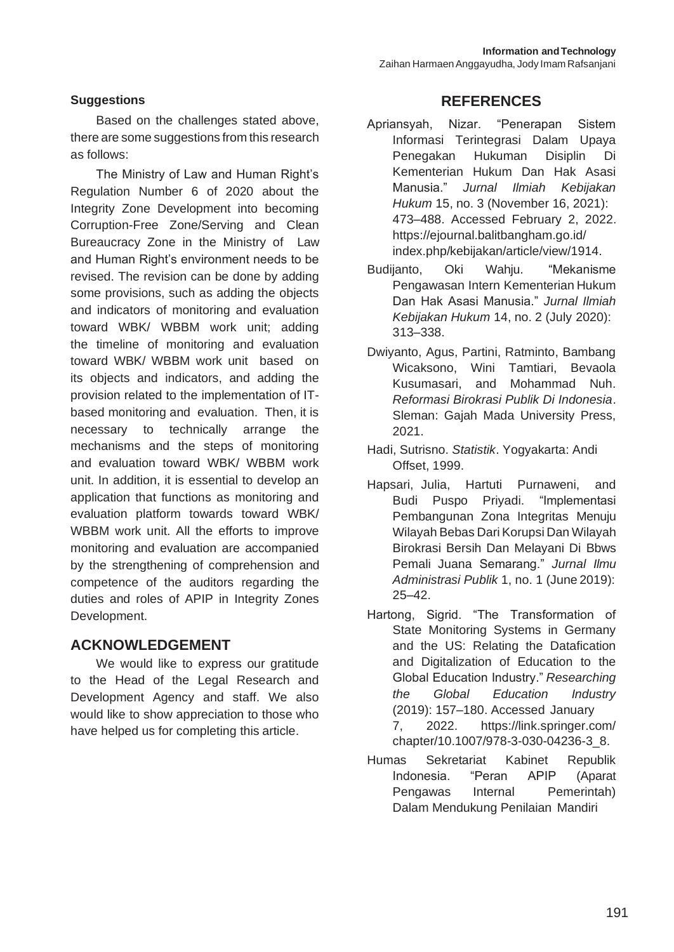### **Suggestions**

Based on the challenges stated above, there are some suggestions from this research as follows:

The Ministry of Law and Human Right's Regulation Number 6 of 2020 about the Integrity Zone Development into becoming Corruption-Free Zone/Serving and Clean Bureaucracy Zone in the Ministry of Law and Human Right's environment needs to be revised. The revision can be done by adding some provisions, such as adding the objects and indicators of monitoring and evaluation toward WBK/ WBBM work unit; adding the timeline of monitoring and evaluation toward WBK/ WBBM work unit based on its objects and indicators, and adding the provision related to the implementation of ITbased monitoring and evaluation. Then, it is necessary to technically arrange the mechanisms and the steps of monitoring and evaluation toward WBK/ WBBM work unit. In addition, it is essential to develop an application that functions as monitoring and evaluation platform towards toward WBK/ WBBM work unit. All the efforts to improve monitoring and evaluation are accompanied by the strengthening of comprehension and competence of the auditors regarding the duties and roles of APIP in Integrity Zones Development.

## **ACKNOWLEDGEMENT**

We would like to express our gratitude to the Head of the Legal Research and Development Agency and staff. We also would like to show appreciation to those who have helped us for completing this article.

## **REFERENCES**

- Apriansyah, Nizar. "Penerapan Sistem Informasi Terintegrasi Dalam Upaya Penegakan Hukuman Disiplin Di Kementerian Hukum Dan Hak Asasi Manusia." *Jurnal Ilmiah Kebijakan Hukum* 15, no. 3 (November 16, 2021): 473–488. Accessed February 2, 2022. https://ejournal.balitbangham.go.id/ index.php/kebijakan/article/view/1914.
- Budijanto. Oki Wahju. "Mekanisme Pengawasan Intern Kementerian Hukum Dan Hak Asasi Manusia." *Jurnal Ilmiah Kebijakan Hukum* 14, no. 2 (July 2020): 313–338.
- Dwiyanto, Agus, Partini, Ratminto, Bambang Wicaksono, Wini Tamtiari, Bevaola Kusumasari, and Mohammad Nuh. *Reformasi Birokrasi Publik Di Indonesia*. Sleman: Gajah Mada University Press, 2021.
- Hadi, Sutrisno. *Statistik*. Yogyakarta: Andi Offset, 1999.
- Hapsari, Julia, Hartuti Purnaweni, and Budi Puspo Priyadi. "Implementasi Pembangunan Zona Integritas Menuju Wilayah Bebas Dari Korupsi Dan Wilayah Birokrasi Bersih Dan Melayani Di Bbws Pemali Juana Semarang." *Jurnal Ilmu Administrasi Publik* 1, no. 1 (June 2019): 25–42.
- Hartong, Sigrid. "The Transformation of State Monitoring Systems in Germany and the US: Relating the Datafication and Digitalization of Education to the Global Education Industry." *Researching the Global Education Industry*  (2019): 157–180. Accessed January 7, 2022. https://link.springer.com/ chapter/10.1007/978-3-030-04236-3\_8.
- Humas Sekretariat Kabinet Republik Indonesia. "Peran APIP (Aparat Pengawas Internal Pemerintah) Dalam Mendukung Penilaian Mandiri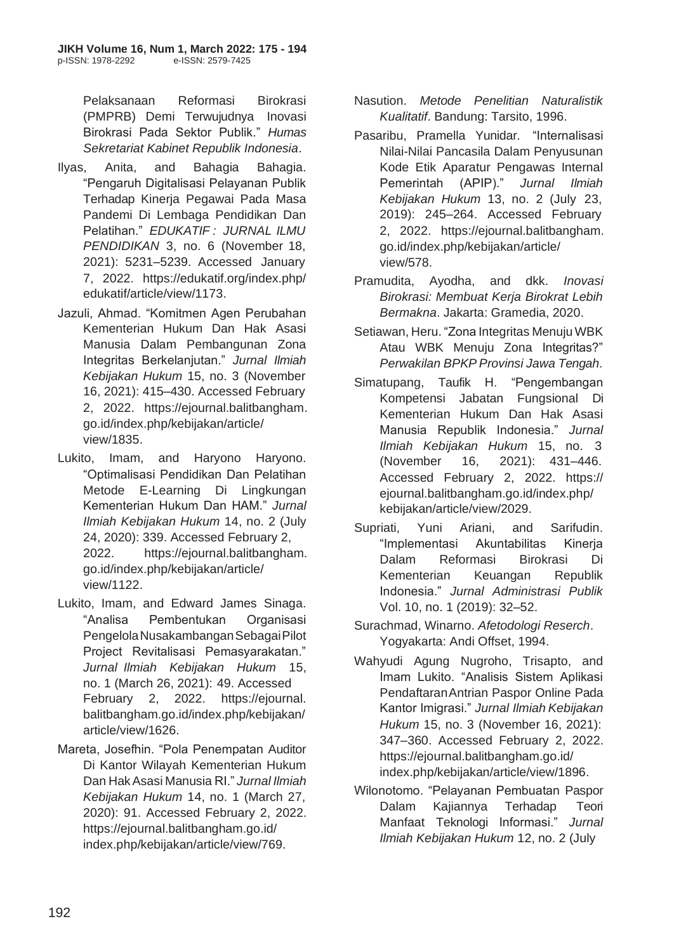Pelaksanaan Reformasi Birokrasi (PMPRB) Demi Terwujudnya Inovasi Birokrasi Pada Sektor Publik." *Humas Sekretariat Kabinet Republik Indonesia*.

- Ilyas, Anita, and Bahagia Bahagia. "Pengaruh Digitalisasi Pelayanan Publik Terhadap Kinerja Pegawai Pada Masa Pandemi Di Lembaga Pendidikan Dan Pelatihan." *EDUKATIF : JURNAL ILMU PENDIDIKAN* 3, no. 6 (November 18, 2021): 5231–5239. Accessed January 7, 2022. https://edukatif.org/index.php/ edukatif/article/view/1173.
- Jazuli, Ahmad. "Komitmen Agen Perubahan Kementerian Hukum Dan Hak Asasi Manusia Dalam Pembangunan Zona Integritas Berkelanjutan." *Jurnal Ilmiah Kebijakan Hukum* 15, no. 3 (November 16, 2021): 415–430. Accessed February 2, 2022. https://ejournal.balitbangham. go.id/index.php/kebijakan/article/ view/1835.
- Lukito, Imam, and Haryono Haryono. "Optimalisasi Pendidikan Dan Pelatihan Metode E-Learning Di Lingkungan Kementerian Hukum Dan HAM." *Jurnal Ilmiah Kebijakan Hukum* 14, no. 2 (July 24, 2020): 339. Accessed February 2, 2022. https://ejournal.balitbangham. go.id/index.php/kebijakan/article/ view/1122.
- Lukito, Imam, and Edward James Sinaga. "Analisa Pembentukan Organisasi PengelolaNusakambanganSebagaiPilot Project Revitalisasi Pemasyarakatan." *Jurnal Ilmiah Kebijakan Hukum* 15, no. 1 (March 26, 2021): 49. Accessed February 2, 2022. https://ejournal. balitbangham.go.id/index.php/kebijakan/ article/view/1626.
- Mareta, Josefhin. "Pola Penempatan Auditor Di Kantor Wilayah Kementerian Hukum Dan HakAsasi Manusia RI." *Jurnal Ilmiah Kebijakan Hukum* 14, no. 1 (March 27, 2020): 91. Accessed February 2, 2022. https://ejournal.balitbangham.go.id/ index.php/kebijakan/article/view/769.
- Nasution. *Metode Penelitian Naturalistik Kualitatif*. Bandung: Tarsito, 1996.
- Pasaribu, Pramella Yunidar. "Internalisasi Nilai-Nilai Pancasila Dalam Penyusunan Kode Etik Aparatur Pengawas Internal Pemerintah (APIP)." *Jurnal Ilmiah Kebijakan Hukum* 13, no. 2 (July 23, 2019): 245–264. Accessed February 2, 2022. https://ejournal.balitbangham. go.id/index.php/kebijakan/article/ view/578.
- Pramudita, Ayodha, and dkk. *Inovasi Birokrasi: Membuat Kerja Birokrat Lebih Bermakna*. Jakarta: Gramedia, 2020.
- Setiawan, Heru. "Zona Integritas MenujuWBK Atau WBK Menuju Zona Integritas?" *Perwakilan BPKP Provinsi Jawa Tengah*.
- Simatupang, Taufik H. "Pengembangan Kompetensi Jabatan Fungsional Di Kementerian Hukum Dan Hak Asasi Manusia Republik Indonesia." *Jurnal Ilmiah Kebijakan Hukum* 15, no. 3 (November 16, 2021): 431–446. Accessed February 2, 2022. https:// ejournal.balitbangham.go.id/index.php/ kebijakan/article/view/2029.
- Supriati, Yuni Ariani, and Sarifudin. "Implementasi Akuntabilitas Kinerja Dalam Reformasi Birokrasi Di Kementerian Keuangan Republik Indonesia." *Jurnal Administrasi Publik*  Vol. 10, no. 1 (2019): 32–52.
- Surachmad, Winarno. *Afetodologi Reserch*. Yogyakarta: Andi Offset, 1994.
- Wahyudi Agung Nugroho, Trisapto, and Imam Lukito. "Analisis Sistem Aplikasi PendaftaranAntrian Paspor Online Pada Kantor Imigrasi." *Jurnal Ilmiah Kebijakan Hukum* 15, no. 3 (November 16, 2021): 347–360. Accessed February 2, 2022. https://ejournal.balitbangham.go.id/ index.php/kebijakan/article/view/1896.
- Wilonotomo. "Pelayanan Pembuatan Paspor Dalam Kajiannya Terhadap Teori Manfaat Teknologi Informasi." *Jurnal Ilmiah Kebijakan Hukum* 12, no. 2 (July